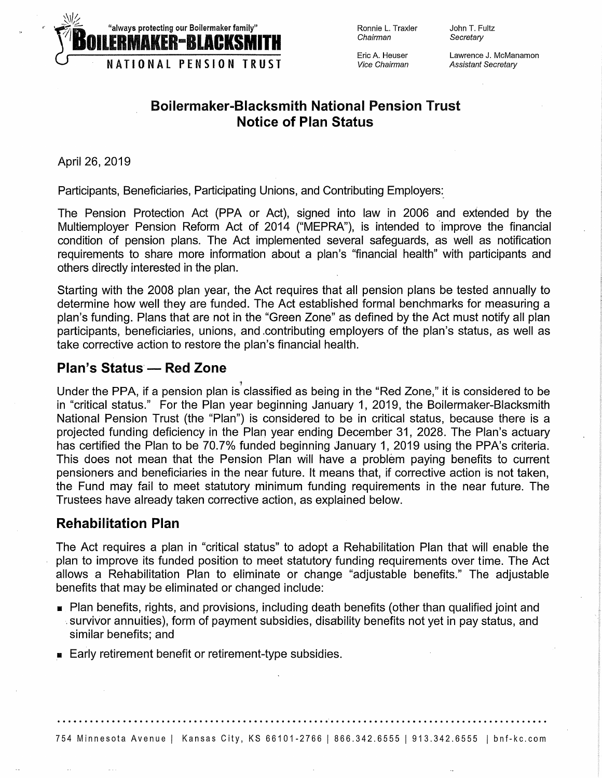

Ronnie L. Traxler Chairman

Eric A. Heuser Vice Chairman Lawrence J. McManamon Assistant Secretary

John T. Fultz **Secretary** 

## **Boilermaker-Blacksmith National Pension Trust Notice of Plan Status**

April 26, 2019

Participants, Beneficiaries, Participating Unions, and Contributing Employers:\_

.,

The Pension Protection Act (PPA or Act), signed into law in 2006 and extended by the Multiemployer Pension Reform Act of 2014 ("MEPRA"), is intended to improve the financial condition of pension plans. The Act implemented several safeguards, as well as notification requirements to share more information about a plan's "financial health" with participants and others directly interested in the plan.

Starting with the 2008 plan year, the Act requires that all pension plans be tested annually to determine how well they are funded. The Act established formal benchmarks for measuring a plan's funding. Plans that are not in the "Green Zone" as defined by the Act must notify all plan participants, beneficiaries, unions, and .contributing employers of the plan's status, as well as take corrective action to restore the plan's financial health.

## **Plan's Status - Red Zone**

Under the PPA, if a pension plan is classified as being in the "Red Zone," it is considered to be in "critical status." For the Plan year beginning January 1, 2019, the Boilermaker-Blacksmith National Pension Trust (the "Plan") is considered to be in critical status, because there is a projected funding deficiency in the Plan year ending December 31, 2028. The Plan's actuary has certified the Plan to be 70.7% funded beginning January 1, 2019 using the PPA's criteria. This does not mean that the Pension Plan will have a problem paying benefits to current pensioners and beneficiaries in the near future. It means that, if corrective action is not taken, the Fund may fail to meet statutory minimum funding requirements in the near future. The Trustees have already taken corrective action, as explained below.

## **Rehabilitation Plan**

The Act requires a plan in "critical status" to adopt a Rehabilitation Plan that will enable the plan to improve its funded position to meet statutory funding requirements over time. The Act allows a Rehabilitation Plan to eliminate or change "adjustable benefits." The adjustable benefits that may be eliminated or changed include:

- Plan benefits, rights, and provisions, including death benefits (other than qualified joint and . survivor annuities), form of payment subsidies, disability benefits not yet in pay status, and similar benefits; and
- Early retirement benefit or retirement-type subsidies.

.................................................•........................................

754 Minnesota Avenue I Kansas City, KS 66101-2766 I 866.342.6555 I 913.342.6555 I bnf-kc.com